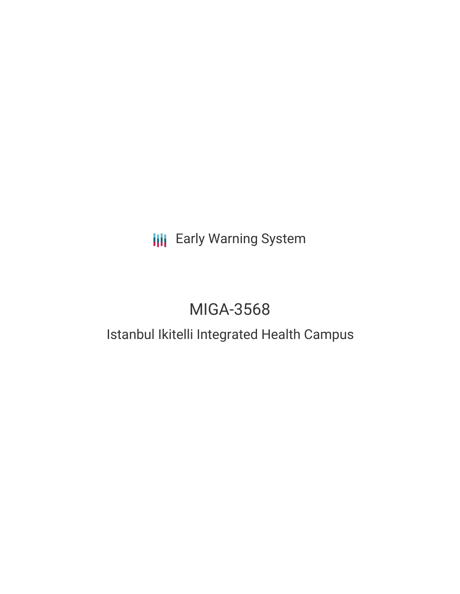# **III** Early Warning System

# MIGA-3568

## Istanbul Ikitelli Integrated Health Campus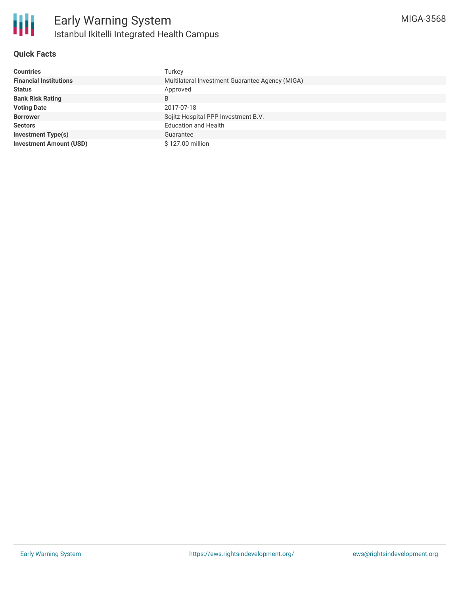

#### **Quick Facts**

| <b>Countries</b>               | Turkey                                          |
|--------------------------------|-------------------------------------------------|
| <b>Financial Institutions</b>  | Multilateral Investment Guarantee Agency (MIGA) |
| <b>Status</b>                  | Approved                                        |
| <b>Bank Risk Rating</b>        | B                                               |
| <b>Voting Date</b>             | 2017-07-18                                      |
| <b>Borrower</b>                | Sojitz Hospital PPP Investment B.V.             |
| <b>Sectors</b>                 | <b>Education and Health</b>                     |
| <b>Investment Type(s)</b>      | Guarantee                                       |
| <b>Investment Amount (USD)</b> | \$127.00 million                                |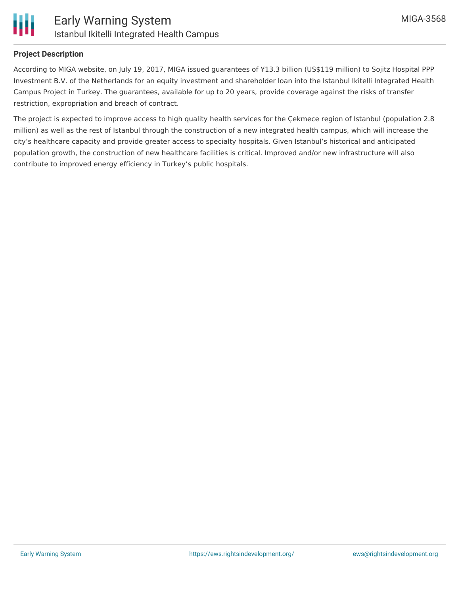

#### **Project Description**

According to MIGA website, on July 19, 2017, MIGA issued guarantees of ¥13.3 billion (US\$119 million) to Sojitz Hospital PPP Investment B.V. of the Netherlands for an equity investment and shareholder loan into the Istanbul Ikitelli Integrated Health Campus Project in Turkey. The guarantees, available for up to 20 years, provide coverage against the risks of transfer restriction, expropriation and breach of contract.

The project is expected to improve access to high quality health services for the Çekmece region of Istanbul (population 2.8 million) as well as the rest of Istanbul through the construction of a new integrated health campus, which will increase the city's healthcare capacity and provide greater access to specialty hospitals. Given Istanbul's historical and anticipated population growth, the construction of new healthcare facilities is critical. Improved and/or new infrastructure will also contribute to improved energy efficiency in Turkey's public hospitals.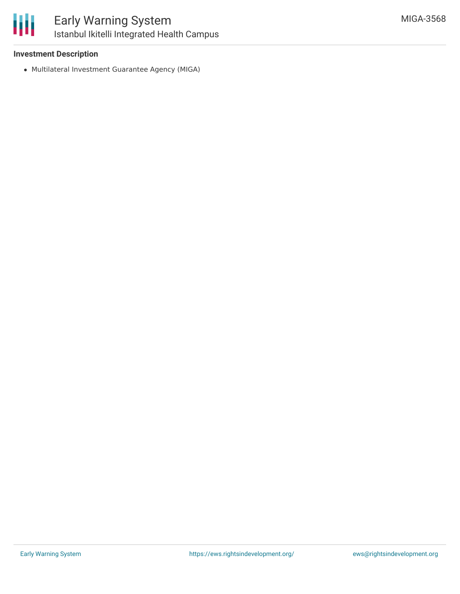

## Early Warning System Istanbul Ikitelli Integrated Health Campus

#### **Investment Description**

Multilateral Investment Guarantee Agency (MIGA)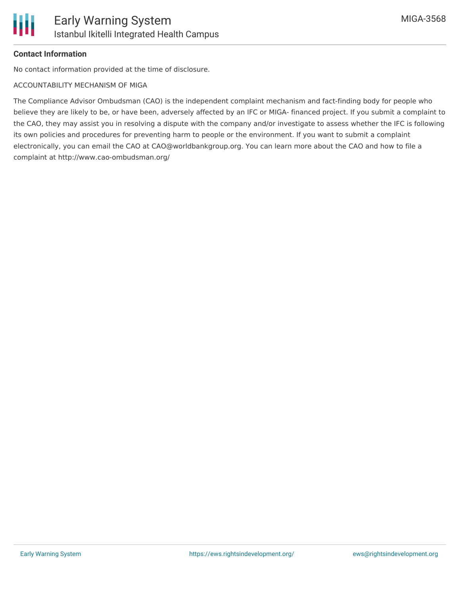#### **Contact Information**

No contact information provided at the time of disclosure.

#### ACCOUNTABILITY MECHANISM OF MIGA

The Compliance Advisor Ombudsman (CAO) is the independent complaint mechanism and fact-finding body for people who believe they are likely to be, or have been, adversely affected by an IFC or MIGA- financed project. If you submit a complaint to the CAO, they may assist you in resolving a dispute with the company and/or investigate to assess whether the IFC is following its own policies and procedures for preventing harm to people or the environment. If you want to submit a complaint electronically, you can email the CAO at CAO@worldbankgroup.org. You can learn more about the CAO and how to file a complaint at http://www.cao-ombudsman.org/